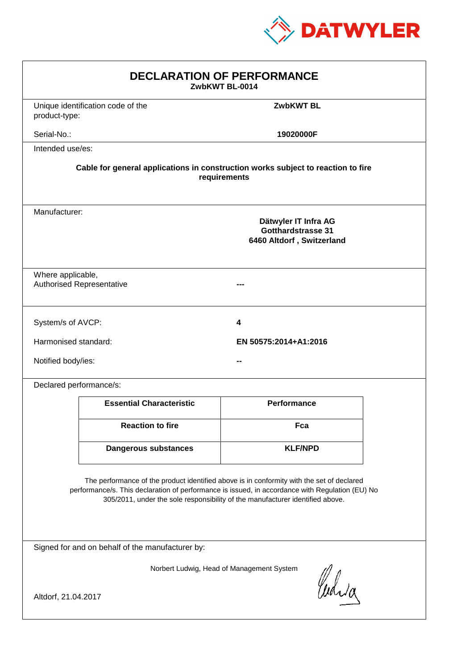

| <b>DECLARATION OF PERFORMANCE</b><br>ZwbKWT BL-0014                                                                                                                                                                                                                           |                                                                                          |                       |  |  |
|-------------------------------------------------------------------------------------------------------------------------------------------------------------------------------------------------------------------------------------------------------------------------------|------------------------------------------------------------------------------------------|-----------------------|--|--|
| product-type:                                                                                                                                                                                                                                                                 | Unique identification code of the                                                        | <b>ZwbKWT BL</b>      |  |  |
| Serial-No.:                                                                                                                                                                                                                                                                   |                                                                                          | 19020000F             |  |  |
| Intended use/es:                                                                                                                                                                                                                                                              |                                                                                          |                       |  |  |
| Cable for general applications in construction works subject to reaction to fire<br>requirements                                                                                                                                                                              |                                                                                          |                       |  |  |
|                                                                                                                                                                                                                                                                               | Manufacturer:<br>Dätwyler IT Infra AG<br>Gotthardstrasse 31<br>6460 Altdorf, Switzerland |                       |  |  |
| Where applicable,<br><b>Authorised Representative</b>                                                                                                                                                                                                                         |                                                                                          |                       |  |  |
| System/s of AVCP:                                                                                                                                                                                                                                                             |                                                                                          | 4                     |  |  |
| Harmonised standard:                                                                                                                                                                                                                                                          |                                                                                          | EN 50575:2014+A1:2016 |  |  |
| Notified body/ies:                                                                                                                                                                                                                                                            |                                                                                          |                       |  |  |
| Declared performance/s:                                                                                                                                                                                                                                                       |                                                                                          |                       |  |  |
|                                                                                                                                                                                                                                                                               | <b>Essential Characteristic</b>                                                          | <b>Performance</b>    |  |  |
|                                                                                                                                                                                                                                                                               | <b>Reaction to fire</b>                                                                  | Fca                   |  |  |
|                                                                                                                                                                                                                                                                               | <b>Dangerous substances</b>                                                              | <b>KLF/NPD</b>        |  |  |
| The performance of the product identified above is in conformity with the set of declared<br>performance/s. This declaration of performance is issued, in accordance with Regulation (EU) No<br>305/2011, under the sole responsibility of the manufacturer identified above. |                                                                                          |                       |  |  |
| Signed for and on behalf of the manufacturer by:                                                                                                                                                                                                                              |                                                                                          |                       |  |  |
| Norbert Ludwig, Head of Management System<br>Curia                                                                                                                                                                                                                            |                                                                                          |                       |  |  |
| Altdorf, 21.04.2017                                                                                                                                                                                                                                                           |                                                                                          |                       |  |  |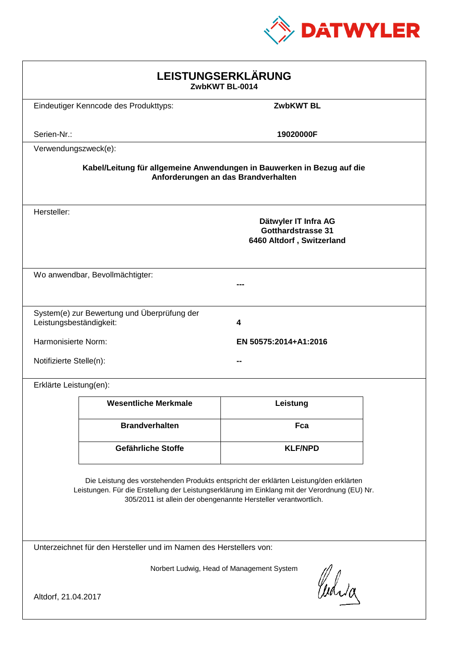

| LEISTUNGSERKLÄRUNG<br>ZwbKWT BL-0014                                                                                                                                                                                                                       |                                              |                                                                                |  |  |
|------------------------------------------------------------------------------------------------------------------------------------------------------------------------------------------------------------------------------------------------------------|----------------------------------------------|--------------------------------------------------------------------------------|--|--|
|                                                                                                                                                                                                                                                            | Eindeutiger Kenncode des Produkttyps:        | <b>ZwbKWT BL</b>                                                               |  |  |
| Serien-Nr.:                                                                                                                                                                                                                                                |                                              | 19020000F                                                                      |  |  |
| Verwendungszweck(e):                                                                                                                                                                                                                                       |                                              |                                                                                |  |  |
| Kabel/Leitung für allgemeine Anwendungen in Bauwerken in Bezug auf die<br>Anforderungen an das Brandverhalten                                                                                                                                              |                                              |                                                                                |  |  |
| Hersteller:                                                                                                                                                                                                                                                |                                              | Dätwyler IT Infra AG<br><b>Gotthardstrasse 31</b><br>6460 Altdorf, Switzerland |  |  |
| Wo anwendbar, Bevollmächtigter:                                                                                                                                                                                                                            |                                              |                                                                                |  |  |
| Leistungsbeständigkeit:                                                                                                                                                                                                                                    | System(e) zur Bewertung und Überprüfung der  | 4                                                                              |  |  |
|                                                                                                                                                                                                                                                            | Harmonisierte Norm:<br>EN 50575:2014+A1:2016 |                                                                                |  |  |
| Notifizierte Stelle(n):                                                                                                                                                                                                                                    |                                              |                                                                                |  |  |
| Erklärte Leistung(en):                                                                                                                                                                                                                                     |                                              |                                                                                |  |  |
|                                                                                                                                                                                                                                                            | <b>Wesentliche Merkmale</b>                  | Leistung                                                                       |  |  |
|                                                                                                                                                                                                                                                            | <b>Brandverhalten</b>                        | Fca                                                                            |  |  |
|                                                                                                                                                                                                                                                            | Gefährliche Stoffe                           | <b>KLF/NPD</b>                                                                 |  |  |
| Die Leistung des vorstehenden Produkts entspricht der erklärten Leistung/den erklärten<br>Leistungen. Für die Erstellung der Leistungserklärung im Einklang mit der Verordnung (EU) Nr.<br>305/2011 ist allein der obengenannte Hersteller verantwortlich. |                                              |                                                                                |  |  |
| Unterzeichnet für den Hersteller und im Namen des Herstellers von:                                                                                                                                                                                         |                                              |                                                                                |  |  |
| Norbert Ludwig, Head of Management System<br>Waja<br>Altdorf, 21.04.2017                                                                                                                                                                                   |                                              |                                                                                |  |  |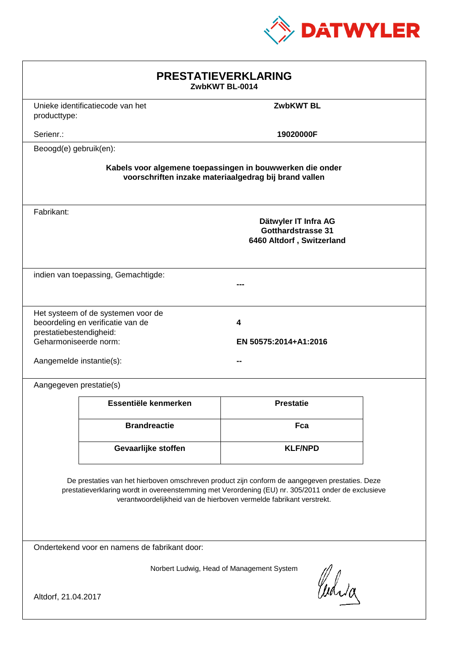

| <b>PRESTATIEVERKLARING</b><br>ZwbKWT BL-0014                                                                                                                                                                                                                                |                                                                         |                                                                                |  |  |
|-----------------------------------------------------------------------------------------------------------------------------------------------------------------------------------------------------------------------------------------------------------------------------|-------------------------------------------------------------------------|--------------------------------------------------------------------------------|--|--|
| producttype:                                                                                                                                                                                                                                                                | Unieke identificatiecode van het                                        | <b>ZwbKWT BL</b>                                                               |  |  |
| Serienr.:                                                                                                                                                                                                                                                                   |                                                                         | 19020000F                                                                      |  |  |
| Beoogd(e) gebruik(en):                                                                                                                                                                                                                                                      |                                                                         |                                                                                |  |  |
| Kabels voor algemene toepassingen in bouwwerken die onder<br>voorschriften inzake materiaalgedrag bij brand vallen                                                                                                                                                          |                                                                         |                                                                                |  |  |
| Fabrikant:                                                                                                                                                                                                                                                                  |                                                                         | Dätwyler IT Infra AG<br><b>Gotthardstrasse 31</b><br>6460 Altdorf, Switzerland |  |  |
|                                                                                                                                                                                                                                                                             | indien van toepassing, Gemachtigde:                                     |                                                                                |  |  |
| prestatiebestendigheid:<br>Geharmoniseerde norm:<br>Aangemelde instantie(s):                                                                                                                                                                                                | Het systeem of de systemen voor de<br>beoordeling en verificatie van de | 4<br>EN 50575:2014+A1:2016                                                     |  |  |
| Aangegeven prestatie(s)                                                                                                                                                                                                                                                     |                                                                         |                                                                                |  |  |
|                                                                                                                                                                                                                                                                             | Essentiële kenmerken                                                    | <b>Prestatie</b>                                                               |  |  |
|                                                                                                                                                                                                                                                                             | <b>Brandreactie</b>                                                     | Fca                                                                            |  |  |
|                                                                                                                                                                                                                                                                             | Gevaarlijke stoffen                                                     | <b>KLF/NPD</b>                                                                 |  |  |
| De prestaties van het hierboven omschreven product zijn conform de aangegeven prestaties. Deze<br>prestatieverklaring wordt in overeenstemming met Verordening (EU) nr. 305/2011 onder de exclusieve<br>verantwoordelijkheid van de hierboven vermelde fabrikant verstrekt. |                                                                         |                                                                                |  |  |
| Ondertekend voor en namens de fabrikant door:                                                                                                                                                                                                                               |                                                                         |                                                                                |  |  |
| Norbert Ludwig, Head of Management System<br>Curia                                                                                                                                                                                                                          |                                                                         |                                                                                |  |  |
| Altdorf, 21.04.2017                                                                                                                                                                                                                                                         |                                                                         |                                                                                |  |  |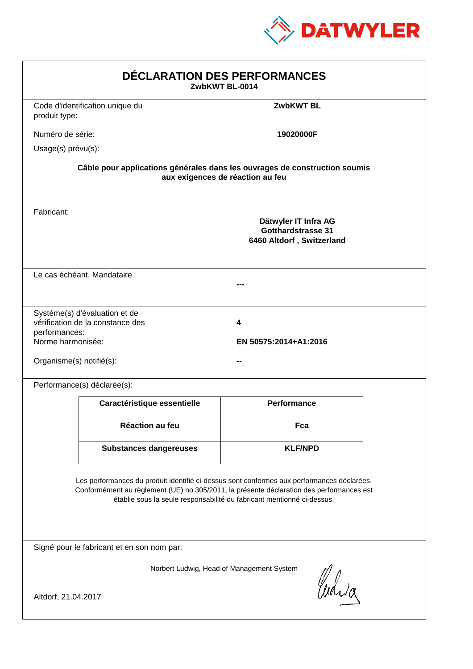

| DÉCLARATION DES PERFORMANCES<br>ZwbKWT BL-0014                                                                                                                                                                                                                   |                                                                                                                |                                                                                |  |  |  |
|------------------------------------------------------------------------------------------------------------------------------------------------------------------------------------------------------------------------------------------------------------------|----------------------------------------------------------------------------------------------------------------|--------------------------------------------------------------------------------|--|--|--|
| produit type:                                                                                                                                                                                                                                                    | Code d'identification unique du                                                                                | <b>ZwbKWT BL</b>                                                               |  |  |  |
| Numéro de série:                                                                                                                                                                                                                                                 |                                                                                                                | 19020000F                                                                      |  |  |  |
| Usage(s) prévu(s):                                                                                                                                                                                                                                               |                                                                                                                |                                                                                |  |  |  |
|                                                                                                                                                                                                                                                                  | Câble pour applications générales dans les ouvrages de construction soumis<br>aux exigences de réaction au feu |                                                                                |  |  |  |
| Fabricant:                                                                                                                                                                                                                                                       |                                                                                                                | Dätwyler IT Infra AG<br><b>Gotthardstrasse 31</b><br>6460 Altdorf, Switzerland |  |  |  |
|                                                                                                                                                                                                                                                                  | Le cas échéant, Mandataire                                                                                     |                                                                                |  |  |  |
| performances:<br>Norme harmonisée:<br>Organisme(s) notifié(s):                                                                                                                                                                                                   | Système(s) d'évaluation et de<br>vérification de la constance des                                              | 4<br>EN 50575:2014+A1:2016                                                     |  |  |  |
|                                                                                                                                                                                                                                                                  | Performance(s) déclarée(s):                                                                                    |                                                                                |  |  |  |
|                                                                                                                                                                                                                                                                  | Caractéristique essentielle                                                                                    | <b>Performance</b>                                                             |  |  |  |
|                                                                                                                                                                                                                                                                  | Réaction au feu                                                                                                | Fca                                                                            |  |  |  |
|                                                                                                                                                                                                                                                                  | <b>Substances dangereuses</b>                                                                                  | <b>KLF/NPD</b>                                                                 |  |  |  |
| Les performances du produit identifié ci-dessus sont conformes aux performances déclarées.<br>Conformément au règlement (UE) no 305/2011, la présente déclaration des performances est<br>établie sous la seule responsabilité du fabricant mentionné ci-dessus. |                                                                                                                |                                                                                |  |  |  |
|                                                                                                                                                                                                                                                                  | Signé pour le fabricant et en son nom par:                                                                     |                                                                                |  |  |  |
| Norbert Ludwig, Head of Management System<br>Curia<br>Altdorf, 21.04.2017                                                                                                                                                                                        |                                                                                                                |                                                                                |  |  |  |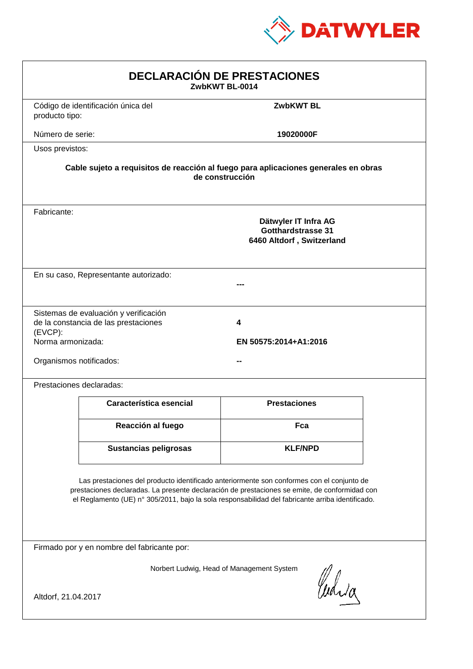

| <b>DECLARACIÓN DE PRESTACIONES</b><br>ZwbKWT BL-0014                                                                                                                                                                                                                                           |                                                                                                        |                            |  |  |  |
|------------------------------------------------------------------------------------------------------------------------------------------------------------------------------------------------------------------------------------------------------------------------------------------------|--------------------------------------------------------------------------------------------------------|----------------------------|--|--|--|
| producto tipo:                                                                                                                                                                                                                                                                                 | Código de identificación única del                                                                     | <b>ZwbKWT BL</b>           |  |  |  |
| Número de serie:                                                                                                                                                                                                                                                                               |                                                                                                        | 19020000F                  |  |  |  |
| Usos previstos:                                                                                                                                                                                                                                                                                |                                                                                                        |                            |  |  |  |
|                                                                                                                                                                                                                                                                                                | Cable sujeto a requisitos de reacción al fuego para aplicaciones generales en obras<br>de construcción |                            |  |  |  |
| Fabricante:                                                                                                                                                                                                                                                                                    | Dätwyler IT Infra AG<br><b>Gotthardstrasse 31</b><br>6460 Altdorf, Switzerland                         |                            |  |  |  |
|                                                                                                                                                                                                                                                                                                | En su caso, Representante autorizado:                                                                  |                            |  |  |  |
| (EVCP):<br>Norma armonizada:<br>Organismos notificados:                                                                                                                                                                                                                                        | Sistemas de evaluación y verificación<br>de la constancia de las prestaciones                          | 4<br>EN 50575:2014+A1:2016 |  |  |  |
|                                                                                                                                                                                                                                                                                                | Prestaciones declaradas:                                                                               |                            |  |  |  |
|                                                                                                                                                                                                                                                                                                | Característica esencial                                                                                | <b>Prestaciones</b>        |  |  |  |
|                                                                                                                                                                                                                                                                                                | Reacción al fuego                                                                                      | Fca                        |  |  |  |
|                                                                                                                                                                                                                                                                                                | <b>Sustancias peligrosas</b>                                                                           | <b>KLF/NPD</b>             |  |  |  |
| Las prestaciones del producto identificado anteriormente son conformes con el conjunto de<br>prestaciones declaradas. La presente declaración de prestaciones se emite, de conformidad con<br>el Reglamento (UE) nº 305/2011, bajo la sola responsabilidad del fabricante arriba identificado. |                                                                                                        |                            |  |  |  |
| Firmado por y en nombre del fabricante por:                                                                                                                                                                                                                                                    |                                                                                                        |                            |  |  |  |
| Norbert Ludwig, Head of Management System<br>Curia<br>Altdorf, 21.04.2017                                                                                                                                                                                                                      |                                                                                                        |                            |  |  |  |